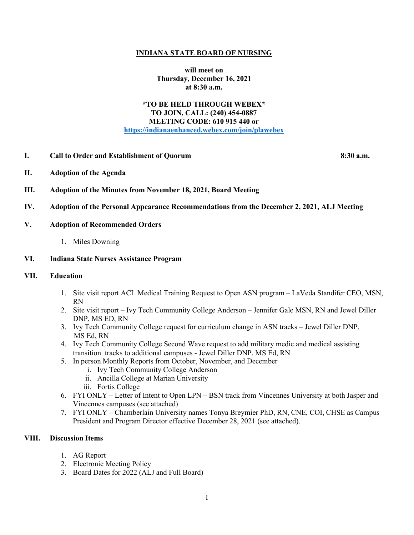### **INDIANA STATE BOARD OF NURSING**

**will meet on Thursday, December 16, 2021 at 8:30 a.m.**

# **\*TO BE HELD THROUGH WEBEX\* TO JOIN, CALL: (240) 454-0887 MEETING CODE: 610 915 440 or [https://indianaenhanced.webex.com/join/plawebex](https://indianaenhanced.webex.com/join/PLAWebex)**

### **I. Call to Order and Establishment of Quorum 8:30 a.m.**

- **II. Adoption of the Agenda**
- **III. Adoption of the Minutes from November 18, 2021, Board Meeting**
- **IV. Adoption of the Personal Appearance Recommendations from the December 2, 2021, ALJ Meeting**

### **V. Adoption of Recommended Orders**

1. Miles Downing

#### **VI. Indiana State Nurses Assistance Program**

### **VII. Education**

- 1. Site visit report ACL Medical Training Request to Open ASN program LaVeda Standifer CEO, MSN, RN
- 2. Site visit report Ivy Tech Community College Anderson Jennifer Gale MSN, RN and Jewel Diller DNP, MS ED, RN
- 3. Ivy Tech Community College request for curriculum change in ASN tracks Jewel Diller DNP, MS Ed, RN
- 4. Ivy Tech Community College Second Wave request to add military medic and medical assisting transition tracks to additional campuses - Jewel Diller DNP, MS Ed, RN
- 5. In person Monthly Reports from October, November, and December
	- i. Ivy Tech Community College Anderson
	- ii. Ancilla College at Marian University
	- iii. Fortis College
- 6. FYI ONLY Letter of Intent to Open LPN BSN track from Vincennes University at both Jasper and Vincennes campuses (see attached)
- 7. FYI ONLY Chamberlain University names Tonya Breymier PhD, RN, CNE, COI, CHSE as Campus President and Program Director effective December 28, 2021 (see attached).

# **VIII. Discussion Items**

- 1. AG Report
- 2. Electronic Meeting Policy
- 3. Board Dates for 2022 (ALJ and Full Board)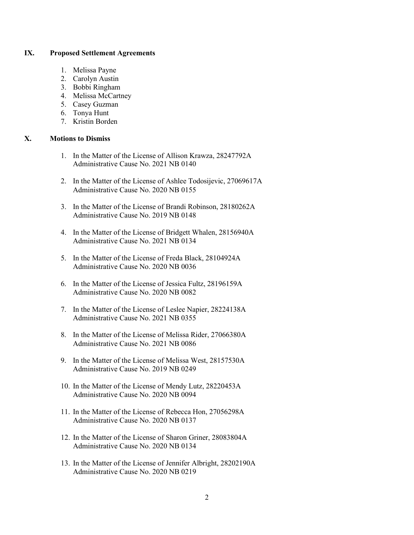### **IX. Proposed Settlement Agreements**

- 1. Melissa Payne
- 2. Carolyn Austin
- 3. Bobbi Ringham
- 4. Melissa McCartney
- 5. Casey Guzman
- 6. Tonya Hunt
- 7. Kristin Borden

### **X. Motions to Dismiss**

- 1. In the Matter of the License of Allison Krawza, 28247792A Administrative Cause No. 2021 NB 0140
- 2. In the Matter of the License of Ashlee Todosijevic, 27069617A Administrative Cause No. 2020 NB 0155
- 3. In the Matter of the License of Brandi Robinson, 28180262A Administrative Cause No. 2019 NB 0148
- 4. In the Matter of the License of Bridgett Whalen, 28156940A Administrative Cause No. 2021 NB 0134
- 5. In the Matter of the License of Freda Black, 28104924A Administrative Cause No. 2020 NB 0036
- 6. In the Matter of the License of Jessica Fultz, 28196159A Administrative Cause No. 2020 NB 0082
- 7. In the Matter of the License of Leslee Napier, 28224138A Administrative Cause No. 2021 NB 0355
- 8. In the Matter of the License of Melissa Rider, 27066380A Administrative Cause No. 2021 NB 0086
- 9. In the Matter of the License of Melissa West, 28157530A Administrative Cause No. 2019 NB 0249
- 10. In the Matter of the License of Mendy Lutz, 28220453A Administrative Cause No. 2020 NB 0094
- 11. In the Matter of the License of Rebecca Hon, 27056298A Administrative Cause No. 2020 NB 0137
- 12. In the Matter of the License of Sharon Griner, 28083804A Administrative Cause No. 2020 NB 0134
- 13. In the Matter of the License of Jennifer Albright, 28202190A Administrative Cause No. 2020 NB 0219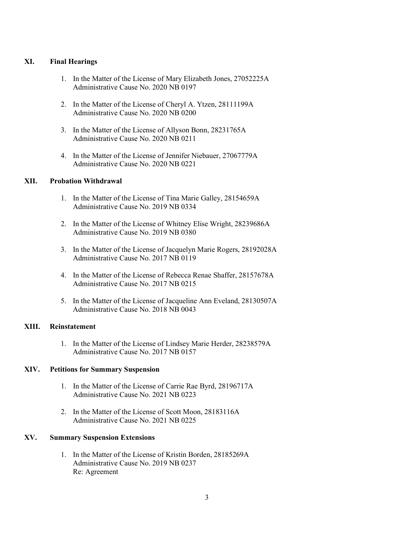# **XI. Final Hearings**

- 1. In the Matter of the License of Mary Elizabeth Jones, 27052225A Administrative Cause No. 2020 NB 0197
- 2. In the Matter of the License of Cheryl A. Ytzen, 28111199A Administrative Cause No. 2020 NB 0200
- 3. In the Matter of the License of Allyson Bonn, 28231765A Administrative Cause No. 2020 NB 0211
- 4. In the Matter of the License of Jennifer Niebauer, 27067779A Administrative Cause No. 2020 NB 0221

# **XII. Probation Withdrawal**

- 1. In the Matter of the License of Tina Marie Galley, 28154659A Administrative Cause No. 2019 NB 0334
- 2. In the Matter of the License of Whitney Elise Wright, 28239686A Administrative Cause No. 2019 NB 0380
- 3. In the Matter of the License of Jacquelyn Marie Rogers, 28192028A Administrative Cause No. 2017 NB 0119
- 4. In the Matter of the License of Rebecca Renae Shaffer, 28157678A Administrative Cause No. 2017 NB 0215
- 5. In the Matter of the License of Jacqueline Ann Eveland, 28130507A Administrative Cause No. 2018 NB 0043

# **XIII. Reinstatement**

1. In the Matter of the License of Lindsey Marie Herder, 28238579A Administrative Cause No. 2017 NB 0157

# **XIV. Petitions for Summary Suspension**

- 1. In the Matter of the License of Carrie Rae Byrd, 28196717A Administrative Cause No. 2021 NB 0223
- 2. In the Matter of the License of Scott Moon, 28183116A Administrative Cause No. 2021 NB 0225

# **XV. Summary Suspension Extensions**

1. In the Matter of the License of Kristin Borden, 28185269A Administrative Cause No. 2019 NB 0237 Re: Agreement